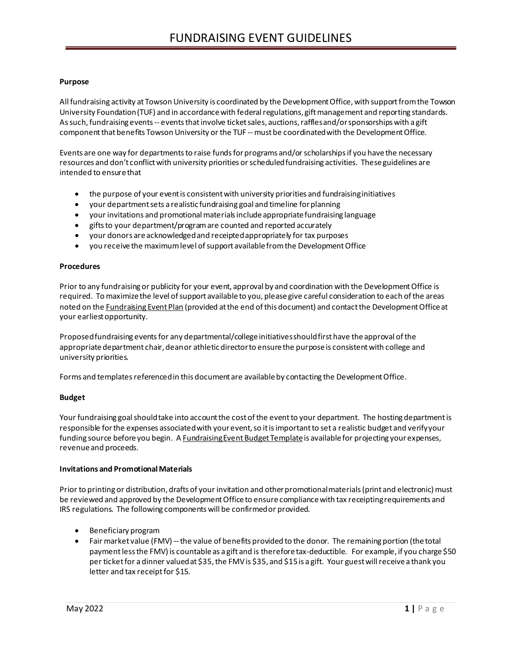### **Purpose**

All fundraising activity at Towson University is coordinated by the Development Office, with support from the Towson University Foundation (TUF) and in accordance with federal regulations, gift management and reporting standards. As such, fundraising events -- events that involve ticket sales, auctions, raffles and/or sponsorships with a gift component that benefits Towson University or the TUF --must be coordinated with the Development Office.

Events are one way for departments to raise funds for programs and/or scholarships if you have the necessary resources and don't conflict with university priorities or scheduled fundraising activities. These guidelines are intended to ensure that

- the purpose of your event is consistent with university priorities and fundraising initiatives
- your department sets a realistic fundraising goal and timeline for planning
- your invitations and promotional materials include appropriate fundraising language
- gifts to your department/program are counted and reported accurately
- your donors are acknowledged and receipted appropriately for tax purposes
- you receive the maximum level of support available from the Development Office

#### **Procedures**

Prior to any fundraising or publicity for your event, approval by and coordination with the Development Office is required. To maximize the level of support available to you, please give careful consideration to each of the areas noted on the Fundraising Event Plan (provided at the end of this document) and contact the Development Office at your earliest opportunity.

Proposed fundraising events for any departmental/college initiatives should first have the approval of the appropriate department chair, dean or athletic director to ensure the purpose is consistent with college and university priorities.

Forms and templates referenced in this document are available by contacting the Development Office.

#### **Budget**

Your fundraising goal should take into account the cost of the event to your department. The hosting department is responsible for the expenses associated with your event, so it is important to set a realistic budget and verify your funding source before you begin. A Fundraising Event Budget Template is available for projecting your expenses, revenueand proceeds.

#### **Invitations and Promotional Materials**

Prior to printing or distribution, drafts of your invitation and other promotional materials (print and electronic) must be reviewed and approved by the Development Office to ensure compliance with tax receipting requirements and IRS regulations. The following components will be confirmed or provided.

- Beneficiary program
- Fair market value (FMV) -- the value of benefits provided to the donor. The remaining portion (the total payment less the FMV) is countable as a gift and is therefore tax-deductible. For example, if you charge \$50 per ticket for a dinner valued at \$35, the FMV is \$35, and \$15 is a gift. Your guest will receive a thank you letter and tax receipt for \$15.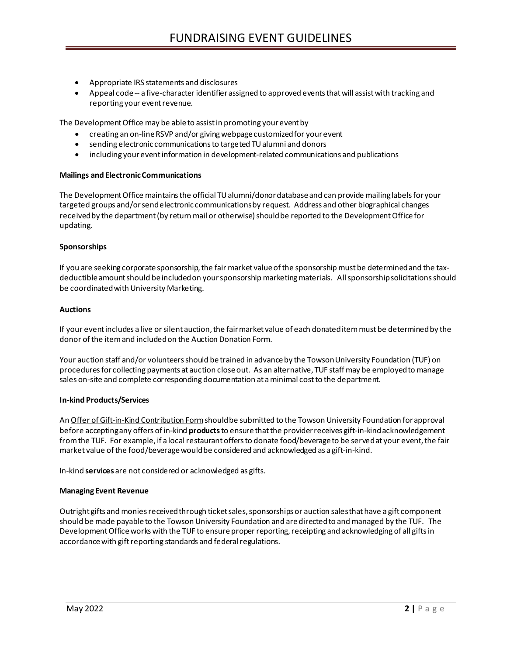- Appropriate IRS statements and disclosures
- Appeal code -- a five-character identifier assigned to approved events that will assist with tracking and reporting your event revenue.

The Development Office may be able to assistin promoting your event by

- creating an on-line RSVP and/or giving webpage customized for your event
- sending electronic communications to targeted TU alumni and donors
- including your event information in development-related communications and publications

#### **Mailings and Electronic Communications**

The Development Office maintains the official TU alumni/donor database and can provide mailing labels for your targeted groups and/or send electronic communications by request. Address and other biographical changes received by the department (by return mail or otherwise) should be reported to the Development Office for updating.

#### **Sponsorships**

If you are seeking corporate sponsorship, the fair market value of the sponsorship must be determined and the taxdeductible amount should be included on your sponsorship marketing materials. All sponsorship solicitations should be coordinated with University Marketing.

#### **Auctions**

If your event includes a live or silent auction, the fair market value of each donated item must be determined by the donor of the item and included on the Auction Donation Form.

Your auction staff and/or volunteers should be trained in advance by the Towson University Foundation (TUF) on procedures for collecting payments at auction closeout. As an alternative, TUF staff may be employed to manage sales on-site and complete corresponding documentation at a minimal cost to the department.

#### **In-kind Products/Services**

An Offer of Gift-in-Kind Contribution Form should be submitted to the Towson University Foundation for approval before acceptingany offers of in-kind **products**to ensure that the provider receives gift-in-kind acknowledgement from the TUF. For example, if a local restaurantoffers to donate food/beverage to be served at your event, the fair market value of the food/beverage would be considered and acknowledged as a gift-in-kind.

In-kind **services** are not considered or acknowledged as gifts.

#### **Managing Event Revenue**

Outright gifts and monies received through ticket sales, sponsorships or auction sales that have a gift component should be made payable to the Towson University Foundation and are directed to and managed by the TUF. The Development Office works with the TUF to ensure proper reporting, receipting and acknowledging of all gifts in accordance with gift reporting standards and federal regulations.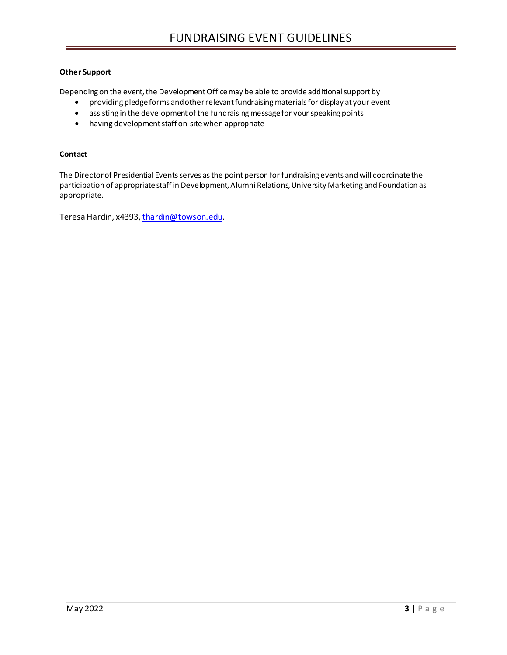## **Other Support**

Depending on the event, the Development Office may be able to provide additional support by

- providing pledge forms and other relevant fundraising materials for display at your event
- assisting in the development of the fundraising message for your speaking points
- having development staff on-site when appropriate

#### **Contact**

The Director of Presidential Events serves as the point person for fundraising events and will coordinate the participation of appropriate staff in Development, Alumni Relations, University Marketing and Foundation as appropriate.

Teresa Hardin, x4393, [thardin@towson.edu.](mailto:thardin@towson.edu)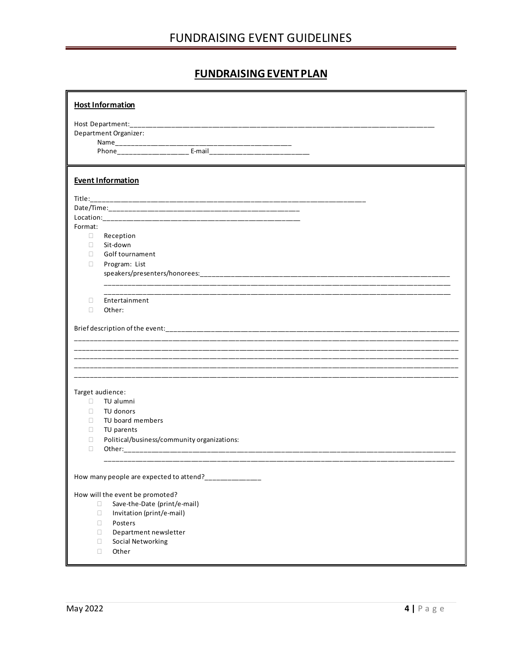# **FUNDRAISING EVENT PLAN**

|         | <b>Host Information</b>                                                          |  |
|---------|----------------------------------------------------------------------------------|--|
|         |                                                                                  |  |
|         | Department Organizer:                                                            |  |
|         |                                                                                  |  |
|         |                                                                                  |  |
|         |                                                                                  |  |
|         | <b>Event Information</b>                                                         |  |
|         |                                                                                  |  |
|         |                                                                                  |  |
|         |                                                                                  |  |
| Format: |                                                                                  |  |
| $\Box$  | Reception                                                                        |  |
| $\Box$  | Sit-down                                                                         |  |
| П       | Golf tournament                                                                  |  |
| $\Box$  | Program: List                                                                    |  |
|         |                                                                                  |  |
|         |                                                                                  |  |
| П       | Entertainment                                                                    |  |
| $\Box$  | Other:                                                                           |  |
|         |                                                                                  |  |
|         |                                                                                  |  |
|         |                                                                                  |  |
|         |                                                                                  |  |
|         | ,我们也不能在这里的时候,我们也不能在这里的时候,我们也不能会在这里的时候,我们也不能会在这里的时候,我们也不能会在这里的时候,我们也不能会在这里的时候,我们也 |  |
|         |                                                                                  |  |
|         |                                                                                  |  |
|         |                                                                                  |  |
| П.      | Target audience:<br>TU alumni                                                    |  |
| П       | TU donors                                                                        |  |
| п       | TU board members                                                                 |  |
| O       | TU parents                                                                       |  |
| □       | Political/business/community organizations:                                      |  |
| $\Box$  |                                                                                  |  |
|         |                                                                                  |  |
|         |                                                                                  |  |
|         | How many people are expected to attend?_____________                             |  |
|         |                                                                                  |  |
|         | How will the event be promoted?<br>Save-the-Date (print/e-mail)<br>0             |  |
|         | $\Box$<br>Invitation (print/e-mail)                                              |  |
|         | $\Box$<br>Posters                                                                |  |
|         | Department newsletter<br>$\Box$                                                  |  |
|         | Social Networking<br>0                                                           |  |
|         | Other<br>0                                                                       |  |